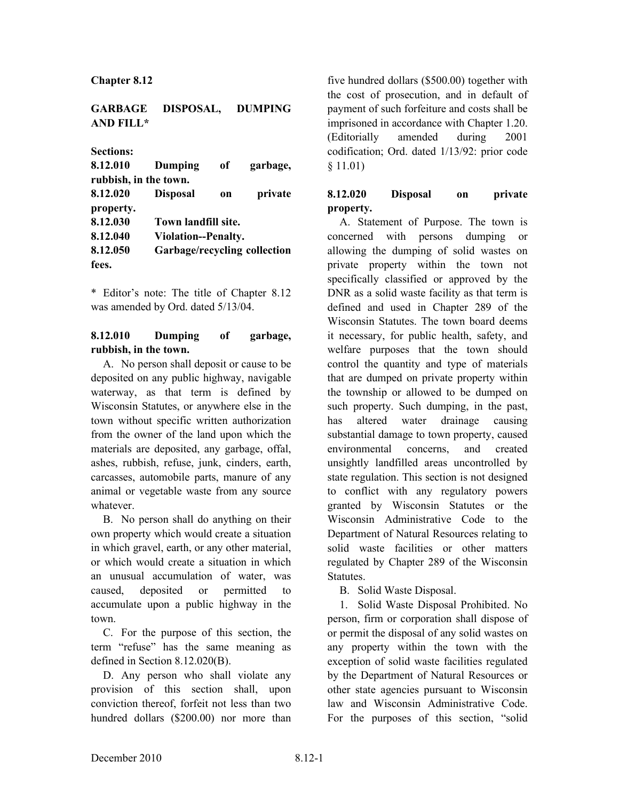**Chapter 8.12**

**GARBAGE DISPOSAL, DUMPING AND FILL\***

**Sections:**

| 8.12.010              | Dumping                      | of            | garbage, |
|-----------------------|------------------------------|---------------|----------|
| rubbish, in the town. |                              |               |          |
| 8.12.020              | <b>Disposal</b>              | <sub>on</sub> | private  |
| property.             |                              |               |          |
| 8.12.030              | Town landfill site.          |               |          |
| 8.12.040              | <b>Violation--Penalty.</b>   |               |          |
| 8.12.050              | Garbage/recycling collection |               |          |
| fees.                 |                              |               |          |

\* Editor's note: The title of Chapter 8.12 was amended by Ord. dated 5/13/04.

## **8.12.010 Dumping of garbage, rubbish, in the town.**

A. No person shall deposit or cause to be deposited on any public highway, navigable waterway, as that term is defined by Wisconsin Statutes, or anywhere else in the town without specific written authorization from the owner of the land upon which the materials are deposited, any garbage, offal, ashes, rubbish, refuse, junk, cinders, earth, carcasses, automobile parts, manure of any animal or vegetable waste from any source whatever.

B. No person shall do anything on their own property which would create a situation in which gravel, earth, or any other material, or which would create a situation in which an unusual accumulation of water, was caused, deposited or permitted accumulate upon a public highway in the town.

C. For the purpose of this section, the term "refuse" has the same meaning as defined in Section 8.12.020(B).

D. Any person who shall violate any provision of this section shall, upon conviction thereof, forfeit not less than two hundred dollars (\$200.00) nor more than

five hundred dollars (\$500.00) together with the cost of prosecution, and in default of payment of such forfeiture and costs shall be imprisoned in accordance with Chapter 1.20. (Editorially amended during 2001 codification; Ord. dated 1/13/92: prior code § 11.01)

# **8.12.020 Disposal on private property.**

A. Statement of Purpose. The town is concerned with persons dumping or allowing the dumping of solid wastes on private property within the town not specifically classified or approved by the DNR as a solid waste facility as that term is defined and used in Chapter 289 of the Wisconsin Statutes. The town board deems it necessary, for public health, safety, and welfare purposes that the town should control the quantity and type of materials that are dumped on private property within the township or allowed to be dumped on such property. Such dumping, in the past, has altered water drainage causing substantial damage to town property, caused environmental concerns, and created unsightly landfilled areas uncontrolled by state regulation. This section is not designed to conflict with any regulatory powers granted by Wisconsin Statutes or the Wisconsin Administrative Code to the Department of Natural Resources relating to solid waste facilities or other matters regulated by Chapter 289 of the Wisconsin Statutes.

B. Solid Waste Disposal.

1. Solid Waste Disposal Prohibited. No person, firm or corporation shall dispose of or permit the disposal of any solid wastes on any property within the town with the exception of solid waste facilities regulated by the Department of Natural Resources or other state agencies pursuant to Wisconsin law and Wisconsin Administrative Code. For the purposes of this section, "solid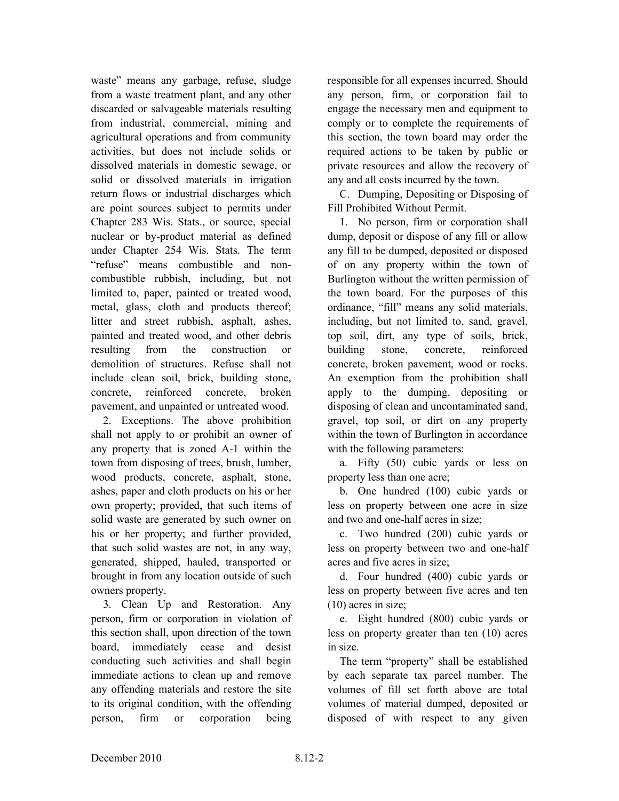waste" means any garbage, refuse, sludge from a waste treatment plant, and any other discarded or salvageable materials resulting from industrial, commercial, mining and agricultural operations and from community activities, but does not include solids or dissolved materials in domestic sewage, or solid or dissolved materials in irrigation return flows or industrial discharges which are point sources subject to permits under Chapter 283 Wis. Stats., or source, special nuclear or by-product material as defined under Chapter 254 Wis. Stats. The term "refuse" means combustible and noncombustible rubbish, including, but not limited to, paper, painted or treated wood, metal, glass, cloth and products thereof; litter and street rubbish, asphalt, ashes, painted and treated wood, and other debris resulting from the construction or demolition of structures. Refuse shall not include clean soil, brick, building stone, concrete, reinforced concrete, broken pavement, and unpainted or untreated wood.

2. Exceptions. The above prohibition shall not apply to or prohibit an owner of any property that is zoned A-1 within the town from disposing of trees, brush, lumber, wood products, concrete, asphalt, stone, ashes, paper and cloth products on his or her own property; provided, that such items of solid waste are generated by such owner on his or her property; and further provided, that such solid wastes are not, in any way, generated, shipped, hauled, transported or brought in from any location outside of such owners property.

3. Clean Up and Restoration. Any person, firm or corporation in violation of this section shall, upon direction of the town board, immediately cease and desist conducting such activities and shall begin immediate actions to clean up and remove any offending materials and restore the site to its original condition, with the offending person, firm or corporation being

responsible for all expenses incurred. Should any person, firm, or corporation fail to engage the necessary men and equipment to comply or to complete the requirements of this section, the town board may order the required actions to be taken by public or private resources and allow the recovery of any and all costs incurred by the town.

C. Dumping, Depositing or Disposing of Fill Prohibited Without Permit.

1. No person, firm or corporation shall dump, deposit or dispose of any fill or allow any fill to be dumped, deposited or disposed of on any property within the town of Burlington without the written permission of the town board. For the purposes of this ordinance, "fill" means any solid materials, including, but not limited to, sand, gravel, top soil, dirt, any type of soils, brick, building stone, concrete, reinforced concrete, broken pavement, wood or rocks. An exemption from the prohibition shall apply to the dumping, depositing or disposing of clean and uncontaminated sand, gravel, top soil, or dirt on any property within the town of Burlington in accordance with the following parameters:

a. Fifty (50) cubic yards or less on property less than one acre;

b. One hundred (100) cubic yards or less on property between one acre in size and two and one-half acres in size;

c. Two hundred (200) cubic yards or less on property between two and one-half acres and five acres in size;

d. Four hundred (400) cubic yards or less on property between five acres and ten (10) acres in size;

e. Eight hundred (800) cubic yards or less on property greater than ten (10) acres in size.

The term "property" shall be established by each separate tax parcel number. The volumes of fill set forth above are total volumes of material dumped, deposited or disposed of with respect to any given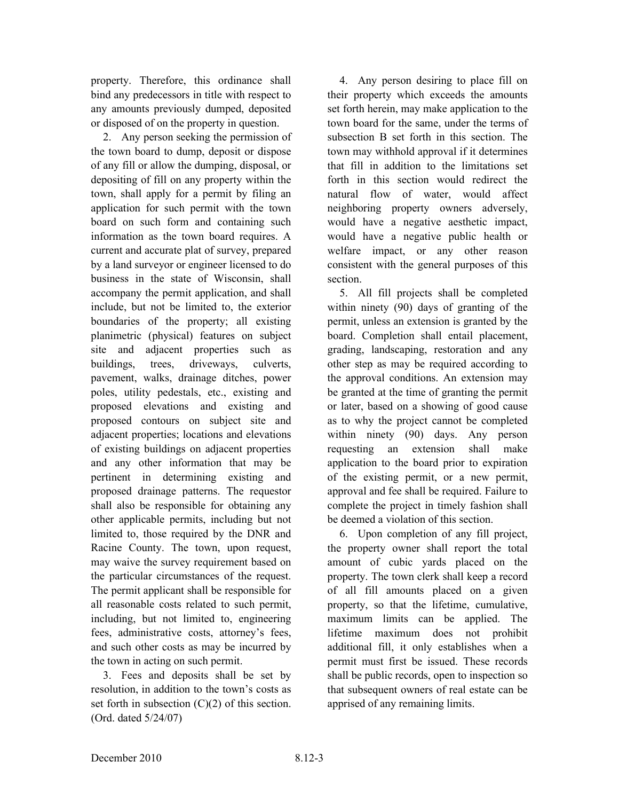property. Therefore, this ordinance shall bind any predecessors in title with respect to any amounts previously dumped, deposited or disposed of on the property in question.

2. Any person seeking the permission of the town board to dump, deposit or dispose of any fill or allow the dumping, disposal, or depositing of fill on any property within the town, shall apply for a permit by filing an application for such permit with the town board on such form and containing such information as the town board requires. A current and accurate plat of survey, prepared by a land surveyor or engineer licensed to do business in the state of Wisconsin, shall accompany the permit application, and shall include, but not be limited to, the exterior boundaries of the property; all existing planimetric (physical) features on subject site and adjacent properties such as buildings, trees, driveways, culverts, pavement, walks, drainage ditches, power poles, utility pedestals, etc., existing and proposed elevations and existing and proposed contours on subject site and adjacent properties; locations and elevations of existing buildings on adjacent properties and any other information that may be pertinent in determining existing and proposed drainage patterns. The requestor shall also be responsible for obtaining any other applicable permits, including but not limited to, those required by the DNR and Racine County. The town, upon request, may waive the survey requirement based on the particular circumstances of the request. The permit applicant shall be responsible for all reasonable costs related to such permit, including, but not limited to, engineering fees, administrative costs, attorney's fees, and such other costs as may be incurred by the town in acting on such permit.

3. Fees and deposits shall be set by resolution, in addition to the town's costs as set forth in subsection (C)(2) of this section. (Ord. dated 5/24/07)

4. Any person desiring to place fill on their property which exceeds the amounts set forth herein, may make application to the town board for the same, under the terms of subsection B set forth in this section. The town may withhold approval if it determines that fill in addition to the limitations set forth in this section would redirect the natural flow of water, would affect neighboring property owners adversely, would have a negative aesthetic impact, would have a negative public health or welfare impact, or any other reason consistent with the general purposes of this section.

5. All fill projects shall be completed within ninety (90) days of granting of the permit, unless an extension is granted by the board. Completion shall entail placement, grading, landscaping, restoration and any other step as may be required according to the approval conditions. An extension may be granted at the time of granting the permit or later, based on a showing of good cause as to why the project cannot be completed within ninety (90) days. Any person requesting an extension shall make application to the board prior to expiration of the existing permit, or a new permit, approval and fee shall be required. Failure to complete the project in timely fashion shall be deemed a violation of this section.

6. Upon completion of any fill project, the property owner shall report the total amount of cubic yards placed on the property. The town clerk shall keep a record of all fill amounts placed on a given property, so that the lifetime, cumulative, maximum limits can be applied. The lifetime maximum does not prohibit additional fill, it only establishes when a permit must first be issued. These records shall be public records, open to inspection so that subsequent owners of real estate can be apprised of any remaining limits.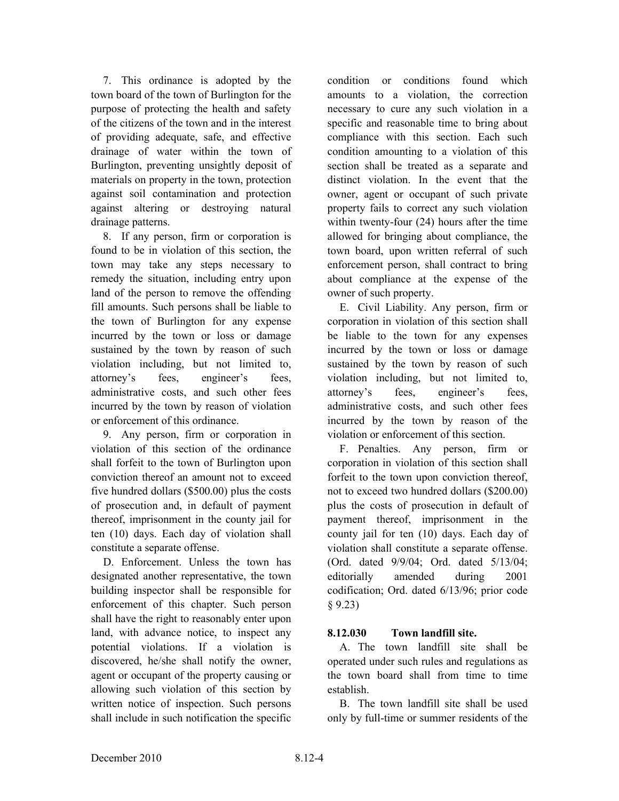7. This ordinance is adopted by the town board of the town of Burlington for the purpose of protecting the health and safety of the citizens of the town and in the interest of providing adequate, safe, and effective drainage of water within the town of Burlington, preventing unsightly deposit of materials on property in the town, protection against soil contamination and protection against altering or destroying natural drainage patterns.

8. If any person, firm or corporation is found to be in violation of this section, the town may take any steps necessary to remedy the situation, including entry upon land of the person to remove the offending fill amounts. Such persons shall be liable to the town of Burlington for any expense incurred by the town or loss or damage sustained by the town by reason of such violation including, but not limited to, attorney's fees, engineer's fees, administrative costs, and such other fees incurred by the town by reason of violation or enforcement of this ordinance.

9. Any person, firm or corporation in violation of this section of the ordinance shall forfeit to the town of Burlington upon conviction thereof an amount not to exceed five hundred dollars (\$500.00) plus the costs of prosecution and, in default of payment thereof, imprisonment in the county jail for ten (10) days. Each day of violation shall constitute a separate offense.

D. Enforcement. Unless the town has designated another representative, the town building inspector shall be responsible for enforcement of this chapter. Such person shall have the right to reasonably enter upon land, with advance notice, to inspect any potential violations. If a violation is discovered, he/she shall notify the owner, agent or occupant of the property causing or allowing such violation of this section by written notice of inspection. Such persons shall include in such notification the specific condition or conditions found which amounts to a violation, the correction necessary to cure any such violation in a specific and reasonable time to bring about compliance with this section. Each such condition amounting to a violation of this section shall be treated as a separate and distinct violation. In the event that the owner, agent or occupant of such private property fails to correct any such violation within twenty-four (24) hours after the time allowed for bringing about compliance, the town board, upon written referral of such enforcement person, shall contract to bring about compliance at the expense of the owner of such property.

E. Civil Liability. Any person, firm or corporation in violation of this section shall be liable to the town for any expenses incurred by the town or loss or damage sustained by the town by reason of such violation including, but not limited to, attorney's fees, engineer's fees, administrative costs, and such other fees incurred by the town by reason of the violation or enforcement of this section.

F. Penalties. Any person, firm or corporation in violation of this section shall forfeit to the town upon conviction thereof, not to exceed two hundred dollars (\$200.00) plus the costs of prosecution in default of payment thereof, imprisonment in the county jail for ten (10) days. Each day of violation shall constitute a separate offense. (Ord. dated 9/9/04; Ord. dated 5/13/04; editorially amended during 2001 codification; Ord. dated 6/13/96; prior code § 9.23)

### **8.12.030 Town landfill site.**

A. The town landfill site shall be operated under such rules and regulations as the town board shall from time to time establish.

B. The town landfill site shall be used only by full-time or summer residents of the